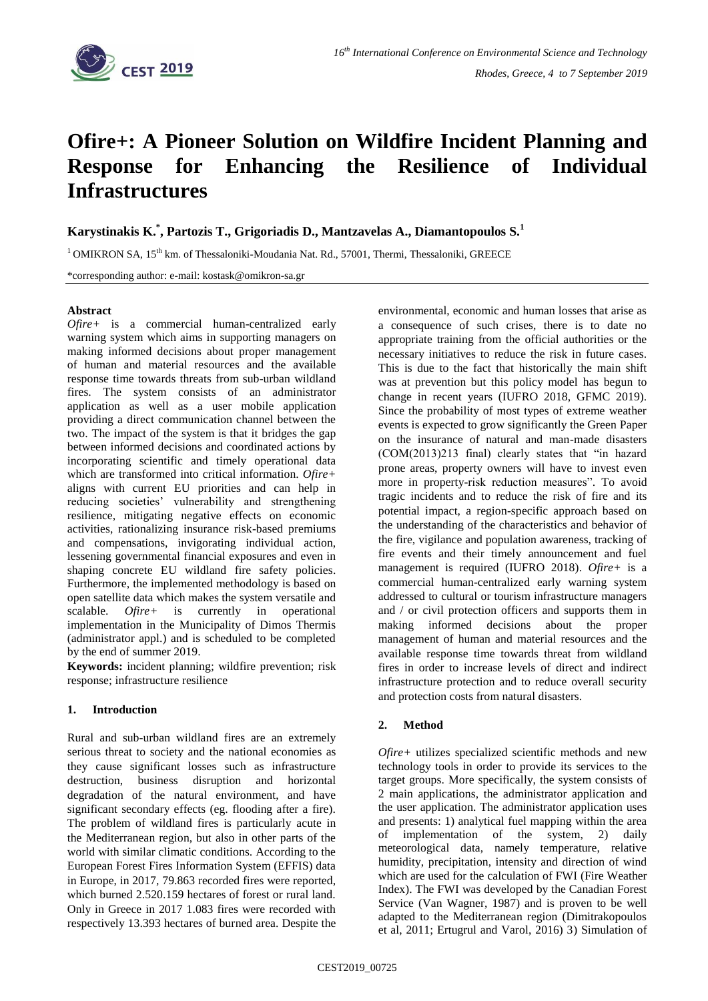

# **Ofire+: A Pioneer Solution on Wildfire Incident Planning and Response for Enhancing the Resilience of Individual Infrastructures**

**Karystinakis K. \* , Partozis T., Grigoriadis D., Mantzavelas A., Diamantopoulos S.<sup>1</sup>**

 $1$ OMIKRON SA, 15<sup>th</sup> km. of Thessaloniki-Moudania Nat. Rd., 57001, Thermi, Thessaloniki, GREECE

\*corresponding author: e-mail: kostask@omikron-sa.gr

### **Abstract**

*Ofire+* is a commercial human-centralized early warning system which aims in supporting managers on making informed decisions about proper management of human and material resources and the available response time towards threats from sub-urban wildland fires. The system consists of an administrator application as well as a user mobile application providing a direct communication channel between the two. The impact of the system is that it bridges the gap between informed decisions and coordinated actions by incorporating scientific and timely operational data which are transformed into critical information. *Ofire+* aligns with current EU priorities and can help in reducing societies' vulnerability and strengthening resilience, mitigating negative effects on economic activities, rationalizing insurance risk-based premiums and compensations, invigorating individual action, lessening governmental financial exposures and even in shaping concrete EU wildland fire safety policies. Furthermore, the implemented methodology is based on open satellite data which makes the system versatile and scalable. *Ofire+* is currently in operational implementation in the Municipality of Dimos Thermis (administrator appl.) and is scheduled to be completed by the end of summer 2019.

**Keywords:** incident planning; wildfire prevention; risk response; infrastructure resilience

# **1. Introduction**

Rural and sub-urban wildland fires are an extremely serious threat to society and the national economies as they cause significant losses such as infrastructure destruction, business disruption and horizontal degradation of the natural environment, and have significant secondary effects (eg. flooding after a fire). The problem of wildland fires is particularly acute in the Mediterranean region, but also in other parts of the world with similar climatic conditions. According to the European Forest Fires Information System (EFFIS) data in Europe, in 2017, 79.863 recorded fires were reported, which burned 2.520.159 hectares of forest or rural land. Only in Greece in 2017 1.083 fires were recorded with respectively 13.393 hectares of burned area. Despite the environmental, economic and human losses that arise as a consequence of such crises, there is to date no appropriate training from the official authorities or the necessary initiatives to reduce the risk in future cases. This is due to the fact that historically the main shift was at prevention but this policy model has begun to change in recent years (IUFRO 2018, GFMC 2019). Since the probability of most types of extreme weather events is expected to grow significantly the Green Paper on the insurance of natural and man-made disasters (COM(2013)213 final) clearly states that "in hazard prone areas, property owners will have to invest even more in property-risk reduction measures". To avoid tragic incidents and to reduce the risk of fire and its potential impact, a region-specific approach based on the understanding of the characteristics and behavior of the fire, vigilance and population awareness, tracking of fire events and their timely announcement and fuel management is required (IUFRO 2018). *Ofire+* is a commercial human-centralized early warning system addressed to cultural or tourism infrastructure managers and / or civil protection officers and supports them in making informed decisions about the proper management of human and material resources and the available response time towards threat from wildland fires in order to increase levels of direct and indirect infrastructure protection and to reduce overall security and protection costs from natural disasters.

# **2. Method**

*Ofire+* utilizes specialized scientific methods and new technology tools in order to provide its services to the target groups. More specifically, the system consists of 2 main applications, the administrator application and the user application. The administrator application uses and presents: 1) analytical fuel mapping within the area of implementation of the system, 2) daily meteorological data, namely temperature, relative humidity, precipitation, intensity and direction of wind which are used for the calculation of FWI (Fire Weather Index). The FWI was developed by the Canadian Forest Service (Van Wagner, 1987) and is proven to be well adapted to the Mediterranean region (Dimitrakopoulos et al, 2011; Ertugrul and Varol, 2016) 3) Simulation of